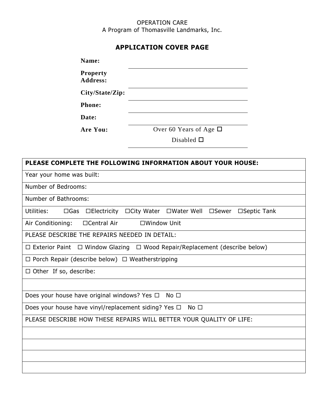### OPERATION CARE A Program of Thomasville Landmarks, Inc.

## **APPLICATION COVER PAGE**

| Name:                                                        |                                                                                             |
|--------------------------------------------------------------|---------------------------------------------------------------------------------------------|
| <b>Property</b><br><b>Address:</b>                           |                                                                                             |
| City/State/Zip:                                              |                                                                                             |
| <b>Phone:</b>                                                |                                                                                             |
| Date:                                                        |                                                                                             |
| Are You:                                                     | Over 60 Years of Age $\Box$                                                                 |
|                                                              | Disabled $\square$                                                                          |
|                                                              |                                                                                             |
|                                                              | PLEASE COMPLETE THE FOLLOWING INFORMATION ABOUT YOUR HOUSE:                                 |
| Year your home was built:                                    |                                                                                             |
| Number of Bedrooms:                                          |                                                                                             |
| Number of Bathrooms:                                         |                                                                                             |
| Utilities:<br>$\square$ Gas                                  | □Electricity □City Water □Water Well □Sewer □Septic Tank                                    |
| Air Conditioning:<br>□Central Air                            | □Window Unit                                                                                |
| PLEASE DESCRIBE THE REPAIRS NEEDED IN DETAIL:                |                                                                                             |
|                                                              | $\Box$ Exterior Paint $\Box$ Window Glazing $\Box$ Wood Repair/Replacement (describe below) |
| $\Box$ Porch Repair (describe below) $\Box$ Weatherstripping |                                                                                             |
| $\Box$ Other If so, describe:                                |                                                                                             |
|                                                              |                                                                                             |
| Does your house have original windows? Yes $\Box$ No $\Box$  |                                                                                             |
| Does your house have vinyl/replacement siding? Yes $\Box$    | $No$ $\square$                                                                              |
|                                                              | PLEASE DESCRIBE HOW THESE REPAIRS WILL BETTER YOUR QUALITY OF LIFE:                         |
|                                                              |                                                                                             |
|                                                              |                                                                                             |
|                                                              |                                                                                             |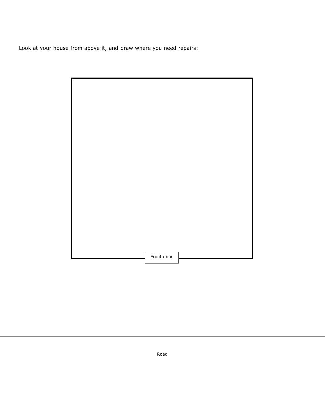Look at your house from above it, and draw where you need repairs:

| Front door |  |  |
|------------|--|--|

Road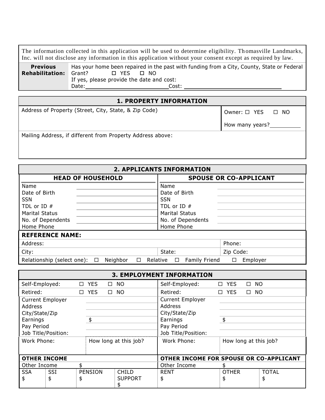The information collected in this application will be used to determine eligibility. Th omasville Landmarks, Inc. will not disclose any information in this application without your consent except as required by law.

| <b>Previous</b>        | Has your home been repaired in the past with funding from a City, County, State or Federal |
|------------------------|--------------------------------------------------------------------------------------------|
| <b>Rehabilitation:</b> | □ YES<br>Grant?<br>- NO                                                                    |
|                        | If yes, please provide the date and cost:                                                  |
|                        | Date:<br>Cost:                                                                             |

# **1. PROPERTY INFORMATION** Address of Property (Street, City, State, & Zip Code)  $\bigcup_{n=1}^{\infty}$  Owner:  $\bigcup_{n=1}^{\infty}$  YES  $\bigcup_{n=1}^{\infty}$  NO How many years?\_

Mailing Address, if different from Property Address above:

| <b>2. APPLICANTS INFORMATION</b>                           |                                                                  |  |  |  |  |  |  |  |
|------------------------------------------------------------|------------------------------------------------------------------|--|--|--|--|--|--|--|
| <b>HEAD OF HOUSEHOLD</b>                                   | <b>SPOUSE OR CO-APPLICANT</b>                                    |  |  |  |  |  |  |  |
| Name                                                       | Name                                                             |  |  |  |  |  |  |  |
| Date of Birth                                              | Date of Birth                                                    |  |  |  |  |  |  |  |
| <b>SSN</b>                                                 | <b>SSN</b>                                                       |  |  |  |  |  |  |  |
| TDL or ID $#$                                              | TDL or ID #                                                      |  |  |  |  |  |  |  |
| <b>Marital Status</b>                                      | <b>Marital Status</b>                                            |  |  |  |  |  |  |  |
| No. of Dependents                                          | No. of Dependents                                                |  |  |  |  |  |  |  |
| Home Phone                                                 | Home Phone                                                       |  |  |  |  |  |  |  |
| <b>REFERENCE NAME:</b>                                     |                                                                  |  |  |  |  |  |  |  |
| Address:                                                   | Phone:                                                           |  |  |  |  |  |  |  |
| City:                                                      | Zip Code:<br>State:                                              |  |  |  |  |  |  |  |
| Relationship (select one):<br>Neighbor<br>$\Box$<br>$\Box$ | <b>Family Friend</b><br>Relative<br>Employer<br>$\Box$<br>$\Box$ |  |  |  |  |  |  |  |

|                                            | <b>3. EMPLOYMENT INFORMATION</b>     |       |                |                |                                         |              |                     |              |  |
|--------------------------------------------|--------------------------------------|-------|----------------|----------------|-----------------------------------------|--------------|---------------------|--------------|--|
| Self-Employed:                             |                                      | □ YES |                | $\square$ NO   | Self-Employed:                          | □ YES        | <b>NO</b><br>$\Box$ |              |  |
| Retired:                                   |                                      | □ YES |                | $\square$ NO   | Retired:                                | □ YES        | $\square$ NO        |              |  |
| <b>Current Employer</b>                    |                                      |       |                |                | <b>Current Employer</b>                 |              |                     |              |  |
| Address                                    |                                      |       |                |                | <b>Address</b>                          |              |                     |              |  |
| City/State/Zip                             |                                      |       |                |                | City/State/Zip                          |              |                     |              |  |
| Earnings                                   |                                      | \$    |                |                | \$<br>Earnings                          |              |                     |              |  |
| Pay Period                                 |                                      |       |                |                | Pay Period                              |              |                     |              |  |
| Job Title/Position:<br>Job Title/Position: |                                      |       |                |                |                                         |              |                     |              |  |
|                                            | Work Phone:<br>How long at this job? |       |                | Work Phone:    | How long at this job?                   |              |                     |              |  |
|                                            |                                      |       |                |                |                                         |              |                     |              |  |
| <b>OTHER INCOME</b>                        |                                      |       |                |                | OTHER INCOME FOR SPOUSE OR CO-APPLICANT |              |                     |              |  |
| Other Income                               |                                      | \$    |                |                | Other Income                            |              |                     |              |  |
| <b>SSA</b>                                 | <b>SSI</b>                           |       | <b>PENSION</b> | <b>CHILD</b>   | <b>RENT</b>                             | <b>OTHER</b> |                     | <b>TOTAL</b> |  |
| \$                                         | \$                                   | \$    |                | <b>SUPPORT</b> | \$                                      | \$           |                     | \$           |  |
|                                            |                                      |       |                | \$             |                                         |              |                     |              |  |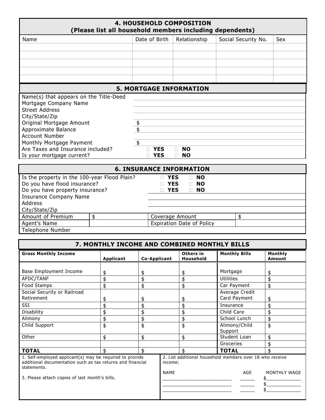| <b>4. HOUSEHOLD COMPOSITION</b><br>(Please list all household members including dependents) |    |                  |                                   |                     |     |  |  |  |
|---------------------------------------------------------------------------------------------|----|------------------|-----------------------------------|---------------------|-----|--|--|--|
| Name                                                                                        |    | Date of Birth    | Relationship                      | Social Security No. | Sex |  |  |  |
|                                                                                             |    |                  |                                   |                     |     |  |  |  |
|                                                                                             |    |                  |                                   |                     |     |  |  |  |
|                                                                                             |    |                  |                                   |                     |     |  |  |  |
|                                                                                             |    |                  |                                   |                     |     |  |  |  |
|                                                                                             |    |                  |                                   |                     |     |  |  |  |
|                                                                                             |    |                  |                                   |                     |     |  |  |  |
|                                                                                             |    |                  | <b>5. MORTGAGE INFORMATION</b>    |                     |     |  |  |  |
| Name(s) that appears on the Title-Deed                                                      |    |                  |                                   |                     |     |  |  |  |
| Mortgage Company Name                                                                       |    |                  |                                   |                     |     |  |  |  |
| <b>Street Address</b>                                                                       |    |                  |                                   |                     |     |  |  |  |
| City/State/Zip                                                                              |    |                  |                                   |                     |     |  |  |  |
| Original Mortgage Amount                                                                    |    | \$               |                                   |                     |     |  |  |  |
| Approximate Balance                                                                         |    |                  |                                   |                     |     |  |  |  |
| <b>Account Number</b>                                                                       |    |                  |                                   |                     |     |  |  |  |
| Monthly Mortgage Payment                                                                    |    | $\frac{1}{2}$    |                                   |                     |     |  |  |  |
| Are Taxes and Insurance included?                                                           |    | <b>YES</b><br>П. | <b>NO</b><br>$\Box$               |                     |     |  |  |  |
| Is your mortgage current?                                                                   |    | <b>YES</b>       | $\Box$<br><b>NO</b>               |                     |     |  |  |  |
|                                                                                             |    |                  | <b>6. INSURANCE INFORMATION</b>   |                     |     |  |  |  |
| Is the property in the 100-year Flood Plain?                                                |    | П.               | <b>YES</b><br>$\Box$ NO           |                     |     |  |  |  |
| Do you have flood insurance?                                                                |    | <b>NO YES</b>    | <b>NO</b><br>$\Box$               |                     |     |  |  |  |
| Do you have property insurance?                                                             |    |                  | <b>YES</b><br><b>NO</b><br>$\Box$ |                     |     |  |  |  |
| <b>Insurance Company Name</b>                                                               |    |                  |                                   |                     |     |  |  |  |
| Address                                                                                     |    |                  |                                   |                     |     |  |  |  |
| City/State/Zip                                                                              |    |                  |                                   |                     |     |  |  |  |
| Amount of Premium                                                                           | \$ |                  | Coverage Amount                   | \$                  |     |  |  |  |
| Agent's Name                                                                                |    |                  | <b>Expiration Date of Policy</b>  |                     |     |  |  |  |
| <b>Telephone Number</b>                                                                     |    |                  |                                   |                     |     |  |  |  |

| 7. MONTHLY INCOME AND COMBINED MONTHLY BILLS                                                                                                                                            |                                              |                                              |  |                                              |                                                                                                                                                      |                                              |  |  |
|-----------------------------------------------------------------------------------------------------------------------------------------------------------------------------------------|----------------------------------------------|----------------------------------------------|--|----------------------------------------------|------------------------------------------------------------------------------------------------------------------------------------------------------|----------------------------------------------|--|--|
| <b>Gross Monthly Income</b>                                                                                                                                                             | Applicant                                    | <b>Co-Applicant</b>                          |  | Others in<br>Household                       | <b>Monthly Bills</b>                                                                                                                                 | Monthly<br>Amount                            |  |  |
| Base Employment Income<br>AFDC/TANF<br>Food Stamps<br>Social Security or Railroad<br>Retirement<br>SSI<br>Disability<br>Alimony<br>Child Support                                        | \$<br>\$<br>\$<br>\$<br>\$<br>\$<br>\$<br>\$ | \$<br>\$<br>\$<br>\$<br>\$<br>\$<br>\$<br>\$ |  | \$<br>\$<br>\$<br>\$<br>\$<br>\$<br>\$<br>\$ | Mortgage<br><b>Utilities</b><br>Car Payment<br>Average Credit<br>Card Payment<br>Insurance<br>Child Care<br>School Lunch<br>Alimony/Child<br>Support | \$<br>\$<br>\$<br>\$<br>\$<br>\$<br>\$<br>\$ |  |  |
| Other                                                                                                                                                                                   | \$                                           | \$                                           |  | \$                                           | Student Loan                                                                                                                                         | \$                                           |  |  |
| <b>TOTAL</b>                                                                                                                                                                            | \$                                           | \$                                           |  | \$                                           | Groceries<br><b>TOTAL</b>                                                                                                                            | \$<br>\$                                     |  |  |
| 1. Self-employed applicant(s) may be required to provide<br>additional documentation such as tax returns and financial<br>statements.<br>3. Please attach copies of last month's bills. |                                              |                                              |  | income:                                      | 2. List additional household members over 18 who receive<br>AGE                                                                                      | MONTHLY WAGE                                 |  |  |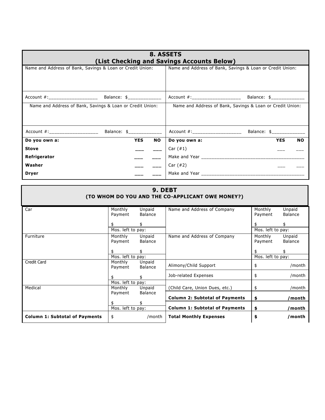|                                                           |            |                                                           | 8. ASSETS<br>(List Checking and Savings Accounts Below)   |                           |           |  |  |
|-----------------------------------------------------------|------------|-----------------------------------------------------------|-----------------------------------------------------------|---------------------------|-----------|--|--|
| Name and Address of Bank, Savings & Loan or Credit Union: |            | Name and Address of Bank, Savings & Loan or Credit Union: |                                                           |                           |           |  |  |
|                                                           |            |                                                           |                                                           |                           |           |  |  |
| Name and Address of Bank, Savings & Loan or Credit Union: |            |                                                           | Name and Address of Bank, Savings & Loan or Credit Union: |                           |           |  |  |
|                                                           |            |                                                           |                                                           | Balance: \$______________ |           |  |  |
| Do you own a:                                             | <b>YES</b> | NO I                                                      | Do you own a:                                             | <b>YES</b>                | <b>NO</b> |  |  |
| <b>Stove</b>                                              |            |                                                           | Car $(\#1)$                                               |                           |           |  |  |
| Refrigerator                                              |            |                                                           |                                                           |                           |           |  |  |
| Washer                                                    |            |                                                           | Car $(\#2)$                                               |                           |           |  |  |
| <b>Dryer</b>                                              |            |                                                           |                                                           |                           |           |  |  |

|                                       |                    | 9. DEBT                  | (TO WHOM DO YOU AND THE CO-APPLICANT OWE MONEY?) |                    |                          |
|---------------------------------------|--------------------|--------------------------|--------------------------------------------------|--------------------|--------------------------|
| Car                                   | Monthly<br>Payment | Unpaid<br>Balance        | Name and Address of Company                      | Monthly<br>Payment | Unpaid<br><b>Balance</b> |
|                                       |                    |                          |                                                  |                    | \$                       |
|                                       | Mos. left to pay:  |                          |                                                  | Mos. left to pay:  |                          |
| Furniture                             | Monthly<br>Payment | Unpaid<br>Balance        | Name and Address of Company                      | Monthly<br>Payment | Unpaid<br><b>Balance</b> |
|                                       |                    |                          |                                                  |                    |                          |
|                                       | Mos. left to pay:  |                          |                                                  | Mos. left to pay:  |                          |
| Credit Card                           | Monthly<br>Payment | Unpaid<br><b>Balance</b> | Alimony/Child Support                            | \$                 | /month                   |
|                                       | \$                 |                          | Job-related Expenses                             | \$                 | /month                   |
|                                       | Mos. left to pay:  |                          |                                                  |                    |                          |
| Medical                               | Monthly<br>Payment | Unpaid<br>Balance        | (Child Care, Union Dues, etc.)                   | \$                 | /month                   |
|                                       | Mos. left to pay:  |                          | <b>Column 2: Subtotal of Payments</b>            | \$                 | /month                   |
|                                       |                    |                          | <b>Column 1: Subtotal of Payments</b>            | \$                 | /month                   |
| <b>Column 1: Subtotal of Payments</b> | \$                 | /month                   | <b>Total Monthly Expenses</b>                    | \$                 | /month                   |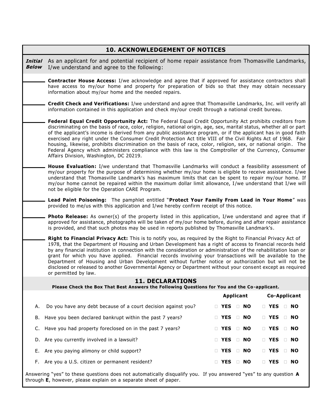|                         | <b>10. ACKNOWLEDGEMENT OF NOTICES</b>                                                                                                                                                                                                                                                                                                                                                                                                                                                                                                                                                                                                                                                                                                      |    |                  |        |           |  |                     |           |  |  |  |
|-------------------------|--------------------------------------------------------------------------------------------------------------------------------------------------------------------------------------------------------------------------------------------------------------------------------------------------------------------------------------------------------------------------------------------------------------------------------------------------------------------------------------------------------------------------------------------------------------------------------------------------------------------------------------------------------------------------------------------------------------------------------------------|----|------------------|--------|-----------|--|---------------------|-----------|--|--|--|
| Initial<br><b>Below</b> | As an applicant for and potential recipient of home repair assistance from Thomasville Landmarks,<br>I/we understand and agree to the following:                                                                                                                                                                                                                                                                                                                                                                                                                                                                                                                                                                                           |    |                  |        |           |  |                     |           |  |  |  |
|                         | Contractor House Access: I/we acknowledge and agree that if approved for assistance contractors shall<br>have access to my/our home and property for preparation of bids so that they may obtain necessary<br>information about my/our home and the needed repairs.                                                                                                                                                                                                                                                                                                                                                                                                                                                                        |    |                  |        |           |  |                     |           |  |  |  |
|                         | Credit Check and Verifications: I/we understand and agree that Thomasville Landmarks, Inc. will verify all<br>information contained in this application and check my/our credit through a national credit bureau.                                                                                                                                                                                                                                                                                                                                                                                                                                                                                                                          |    |                  |        |           |  |                     |           |  |  |  |
|                         | Federal Equal Credit Opportunity Act: The Federal Equal Credit Opportunity Act prohibits creditors from<br>discriminating on the basis of race, color, religion, national origin, age, sex, marital status, whether all or part<br>of the applicant's income is derived from any public assistance program, or if the applicant has in good faith<br>exercised any right under the Consumer Credit Protection Act title VIII of the Civil Rights Act of 1968. Fair<br>housing, likewise, prohibits discrimination on the basis of race, color, religion, sex, or national origin. The<br>Federal Agency which administers compliance with this law is the Comptroller of the Currency, Consumer<br>Affairs Division, Washington, DC 20219. |    |                  |        |           |  |                     |           |  |  |  |
|                         | House Evaluation: I/we understand that Thomasville Landmarks will conduct a feasibility assessment of<br>my/our property for the purpose of determining whether my/our home is eligible to receive assistance. I/we<br>understand that Thomasville Landmark's has maximum limits that can be spent to repair my/our home. If<br>my/our home cannot be repaired within the maximum dollar limit allowance, I/we understand that I/we will<br>not be eligible for the Operation CARE Program.                                                                                                                                                                                                                                                |    |                  |        |           |  |                     |           |  |  |  |
|                         | Lead Paint Poisoning: The pamphlet entitled "Protect Your Family From Lead in Your Home" was<br>provided to me/us with this application and I/we hereby confirm receipt of this notice.                                                                                                                                                                                                                                                                                                                                                                                                                                                                                                                                                    |    |                  |        |           |  |                     |           |  |  |  |
|                         | <b>Photo Release:</b> As owner(s) of the property listed in this application, I/we understand and agree that if<br>approved for assistance, photographs will be taken of my/our home before, during and after repair assistance<br>is provided, and that such photos may be used in reports published by Thomasville Landmark's.                                                                                                                                                                                                                                                                                                                                                                                                           |    |                  |        |           |  |                     |           |  |  |  |
|                         | Right to Financial Privacy Act: This is to notify you, as required by the Right to Financial Privacy Act of<br>1978, that the Department of Housing and Urban Development has a right of access to financial records held<br>by any financial institution in connection with the consideration or administration of the rehabilitation loan or<br>grant for which you have applied. Financial records involving your transactions will be available to the<br>Department of Housing and Urban Development without further notice or authorization but will not be<br>disclosed or released to another Governmental Agency or Department without your consent except as required<br>or permitted by law.                                    |    |                  |        |           |  |                     |           |  |  |  |
|                         | <b>11. DECLARATIONS</b>                                                                                                                                                                                                                                                                                                                                                                                                                                                                                                                                                                                                                                                                                                                    |    |                  |        |           |  |                     |           |  |  |  |
|                         | Please Check the Box That Best Answers the Following Questions for You and the Co-applicant.                                                                                                                                                                                                                                                                                                                                                                                                                                                                                                                                                                                                                                               |    | <b>Applicant</b> |        |           |  | <b>Co-Applicant</b> |           |  |  |  |
| Α.                      | Do you have any debt because of a court decision against you?                                                                                                                                                                                                                                                                                                                                                                                                                                                                                                                                                                                                                                                                              |    | <b>NES</b>       |        | $\Box$ NO |  | <b>NES</b>          | $\Box$ NO |  |  |  |
| В.                      | Have you been declared bankrupt within the past 7 years?                                                                                                                                                                                                                                                                                                                                                                                                                                                                                                                                                                                                                                                                                   |    | <b>NES</b>       |        | <b>NO</b> |  | <b>NO YES</b>       | <b>NO</b> |  |  |  |
| C.                      | Have you had property foreclosed on in the past 7 years?                                                                                                                                                                                                                                                                                                                                                                                                                                                                                                                                                                                                                                                                                   |    | <b>NO</b> YES    |        | $\Box$ NO |  | <b>NES</b>          | $\Box$ NO |  |  |  |
| D.                      | Are you currently involved in a lawsuit?                                                                                                                                                                                                                                                                                                                                                                                                                                                                                                                                                                                                                                                                                                   | Ω. | <b>YES</b>       | $\Box$ | <b>NO</b> |  | <b>T</b> YES        | $\Box$ NO |  |  |  |
| Е.                      | Are you paying alimony or child support?                                                                                                                                                                                                                                                                                                                                                                                                                                                                                                                                                                                                                                                                                                   | □  | <b>YES</b>       |        | <b>NO</b> |  | <b>NES</b>          | $\Box$ No |  |  |  |
| F.                      | Are you a U.S. citizen or permanent resident?                                                                                                                                                                                                                                                                                                                                                                                                                                                                                                                                                                                                                                                                                              |    | <b>YES</b>       |        | $\Box$ NO |  | <b>NES</b>          | $\Box$ NO |  |  |  |
|                         | Answering "yes" to these questions does not automatically disqualify you. If you answered "yes" to any question A                                                                                                                                                                                                                                                                                                                                                                                                                                                                                                                                                                                                                          |    |                  |        |           |  |                     |           |  |  |  |

through **E**, however, please explain on a separate sheet of paper.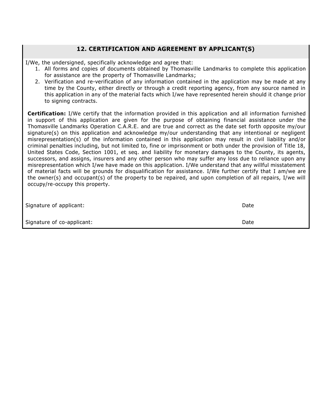## **12. CERTIFICATION AND AGREEMENT BY APPLICANT(S)**

I/We, the undersigned, specifically acknowledge and agree that:

- 1. All forms and copies of documents obtained by Thomasville Landmarks to complete this application for assistance are the property of Thomasville Landmarks;
- 2. Verification and re-verification of any information contained in the application may be made at any time by the County, either directly or through a credit reporting agency, from any source named in this application in any of the material facts which I/we have represented herein should it change prior to signing contracts.

**Certification:** I/We certify that the information provided in this application and all information furnished in support of this application are given for the purpose of obtaining financial assistance under the Thomasville Landmarks Operation C.A.R.E. and are true and correct as the date set forth opposite my/our signature(s) on this application and acknowledge my/our understanding that any intentional or negligent misrepresentation(s) of the information contained in this application may result in civil liability and/or criminal penalties including, but not limited to, fine or imprisonment or both under the provision of Title 18, United States Code, Section 1001, et seq. and liability for monetary damages to the County, its agents, successors, and assigns, insurers and any other person who may suffer any loss due to reliance upon any misrepresentation which I/we have made on this application. I/We understand that any willful misstatement of material facts will be grounds for disqualification for assistance. I/We further certify that I am/we are the owner(s) and occupant(s) of the property to be repaired, and upon completion of all repairs, I/we will occupy/re-occupy this property.

| Signature of applicant:    | Date |
|----------------------------|------|
| Signature of co-applicant: | Date |